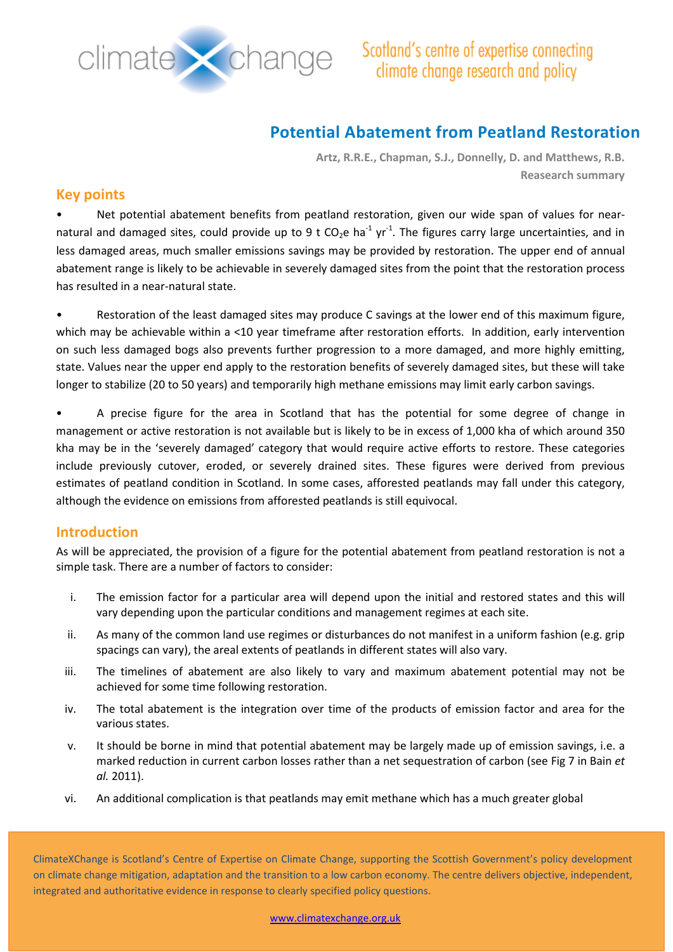

# **Potential Abatement from Peatland Restoration**

**Artz, R.R.E., Chapman, S.J., Donnelly, D. and Matthews, R.B. Reasearch summary**

### **Key points**

Net potential abatement benefits from peatland restoration, given our wide span of values for nearnatural and damaged sites, could provide up to 9 t CO<sub>2</sub>e ha<sup>-1</sup> yr<sup>-1</sup>. The figures carry large uncertainties, and in less damaged areas, much smaller emissions savings may be provided by restoration. The upper end of annual abatement range is likely to be achievable in severely damaged sites from the point that the restoration process has resulted in a near-natural state.

• Restoration of the least damaged sites may produce C savings at the lower end of this maximum figure, which may be achievable within a <10 year timeframe after restoration efforts. In addition, early intervention on such less damaged bogs also prevents further progression to a more damaged, and more highly emitting, state. Values near the upper end apply to the restoration benefits of severely damaged sites, but these will take longer to stabilize (20 to 50 years) and temporarily high methane emissions may limit early carbon savings.

• A precise figure for the area in Scotland that has the potential for some degree of change in management or active restoration is not available but is likely to be in excess of 1,000 kha of which around 350 kha may be in the 'severely damaged' category that would require active efforts to restore. These categories include previously cutover, eroded, or severely drained sites. These figures were derived from previous estimates of peatland condition in Scotland. In some cases, afforested peatlands may fall under this category, although the evidence on emissions from afforested peatlands is still equivocal.

### **Introduction**

As will be appreciated, the provision of a figure for the potential abatement from peatland restoration is not a simple task. There are a number of factors to consider:

- i. The emission factor for a particular area will depend upon the initial and restored states and this will vary depending upon the particular conditions and management regimes at each site.
- ii. As many of the common land use regimes or disturbances do not manifest in a uniform fashion (e.g. grip spacings can vary), the areal extents of peatlands in different states will also vary.
- iii. The timelines of abatement are also likely to vary and maximum abatement potential may not be achieved for some time following restoration.
- iv. The total abatement is the integration over time of the products of emission factor and area for the various states.
- v. It should be borne in mind that potential abatement may be largely made up of emission savings, i.e. a marked reduction in current carbon losses rather than a net sequestration of carbon (see Fig 7 in Bain *et al.* 2011).
- vi. An additional complication is that peatlands may emit methane which has a much greater global

ClimateXChange is Scotland's Centre of Expertise on Climate Change, supporting the Scottish Government's policy development on climate change mitigation, adaptation and the transition to a low carbon economy. The centre delivers objective, independent, integrated and authoritative evidence in response to clearly specified policy questions.

www.climatexchange.org.uk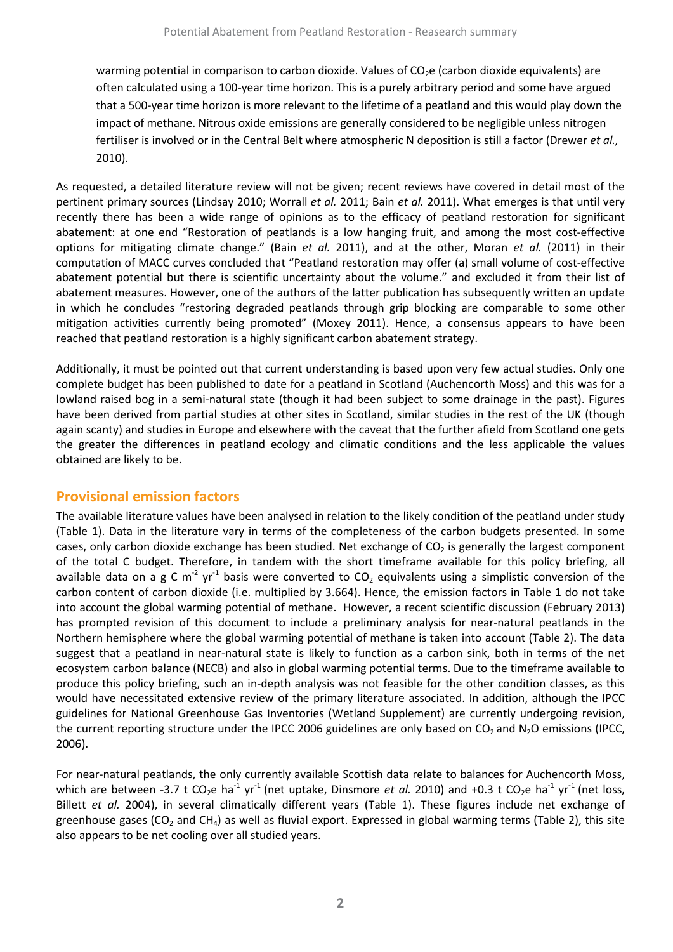warming potential in comparison to carbon dioxide. Values of CO<sub>2</sub>e (carbon dioxide equivalents) are often calculated using a 100-year time horizon. This is a purely arbitrary period and some have argued that a 500-year time horizon is more relevant to the lifetime of a peatland and this would play down the impact of methane. Nitrous oxide emissions are generally considered to be negligible unless nitrogen fertiliser is involved or in the Central Belt where atmospheric N deposition is still a factor (Drewer *et al.,* 2010).

As requested, a detailed literature review will not be given; recent reviews have covered in detail most of the pertinent primary sources (Lindsay 2010; Worrall *et al.* 2011; Bain *et al.* 2011). What emerges is that until very recently there has been a wide range of opinions as to the efficacy of peatland restoration for significant abatement: at one end "Restoration of peatlands is a low hanging fruit, and among the most cost-effective options for mitigating climate change." (Bain *et al.* 2011), and at the other, Moran *et al.* (2011) in their computation of MACC curves concluded that "Peatland restoration may offer (a) small volume of cost-effective abatement potential but there is scientific uncertainty about the volume." and excluded it from their list of abatement measures. However, one of the authors of the latter publication has subsequently written an update in which he concludes "restoring degraded peatlands through grip blocking are comparable to some other mitigation activities currently being promoted" (Moxey 2011). Hence, a consensus appears to have been reached that peatland restoration is a highly significant carbon abatement strategy.

Additionally, it must be pointed out that current understanding is based upon very few actual studies. Only one complete budget has been published to date for a peatland in Scotland (Auchencorth Moss) and this was for a lowland raised bog in a semi-natural state (though it had been subject to some drainage in the past). Figures have been derived from partial studies at other sites in Scotland, similar studies in the rest of the UK (though again scanty) and studies in Europe and elsewhere with the caveat that the further afield from Scotland one gets the greater the differences in peatland ecology and climatic conditions and the less applicable the values obtained are likely to be.

# **Provisional emission factors**

The available literature values have been analysed in relation to the likely condition of the peatland under study (Table 1). Data in the literature vary in terms of the completeness of the carbon budgets presented. In some cases, only carbon dioxide exchange has been studied. Net exchange of  $CO<sub>2</sub>$  is generally the largest component of the total C budget. Therefore, in tandem with the short timeframe available for this policy briefing, all available data on a g C m<sup>-2</sup> yr<sup>-1</sup> basis were converted to CO<sub>2</sub> equivalents using a simplistic conversion of the carbon content of carbon dioxide (i.e. multiplied by 3.664). Hence, the emission factors in Table 1 do not take into account the global warming potential of methane. However, a recent scientific discussion (February 2013) has prompted revision of this document to include a preliminary analysis for near-natural peatlands in the Northern hemisphere where the global warming potential of methane is taken into account (Table 2). The data suggest that a peatland in near-natural state is likely to function as a carbon sink, both in terms of the net ecosystem carbon balance (NECB) and also in global warming potential terms. Due to the timeframe available to produce this policy briefing, such an in-depth analysis was not feasible for the other condition classes, as this would have necessitated extensive review of the primary literature associated. In addition, although the IPCC guidelines for National Greenhouse Gas Inventories (Wetland Supplement) are currently undergoing revision, the current reporting structure under the IPCC 2006 guidelines are only based on  $CO<sub>2</sub>$  and N<sub>2</sub>O emissions (IPCC, 2006).

For near-natural peatlands, the only currently available Scottish data relate to balances for Auchencorth Moss, which are between -3.7 t CO<sub>2</sub>e ha<sup>-1</sup> yr<sup>-1</sup> (net uptake, Dinsmore *et al.* 2010) and +0.3 t CO<sub>2</sub>e ha<sup>-1</sup> yr<sup>-1</sup> (net loss, Billett *et al.* 2004), in several climatically different years (Table 1). These figures include net exchange of greenhouse gases (CO<sub>2</sub> and CH<sub>4</sub>) as well as fluvial export. Expressed in global warming terms (Table 2), this site also appears to be net cooling over all studied years.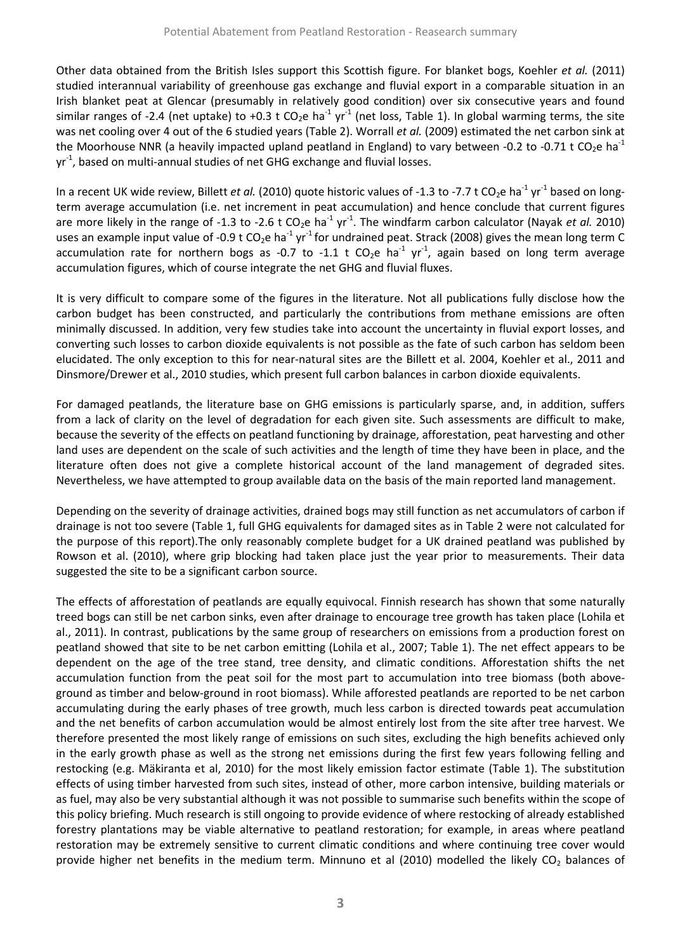Other data obtained from the British Isles support this Scottish figure. For blanket bogs, Koehler *et al.* (2011) studied interannual variability of greenhouse gas exchange and fluvial export in a comparable situation in an Irish blanket peat at Glencar (presumably in relatively good condition) over six consecutive years and found similar ranges of -2.4 (net uptake) to +0.3 t CO<sub>2</sub>e ha<sup>-1</sup> yr<sup>-1</sup> (net loss, Table 1). In global warming terms, the site was net cooling over 4 out of the 6 studied years (Table 2). Worrall *et al.* (2009) estimated the net carbon sink at the Moorhouse NNR (a heavily impacted upland peatland in England) to vary between -0.2 to -0.71 t CO<sub>2</sub>e ha<sup>-1</sup>  $\gamma$ r<sup>-1</sup>, based on multi-annual studies of net GHG exchange and fluvial losses.

In a recent UK wide review, Billett *et al.* (2010) quote historic values of -1.3 to -7.7 t CO<sub>2</sub>e ha<sup>-1</sup> yr<sup>-1</sup> based on longterm average accumulation (i.e. net increment in peat accumulation) and hence conclude that current figures are more likely in the range of -1.3 to -2.6 t CO<sub>2</sub>e ha<sup>-1</sup> yr<sup>-1</sup>. The windfarm carbon calculator (Nayak *et al.* 2010) uses an example input value of -0.9 t CO<sub>2</sub>e ha<sup>-1</sup> yr<sup>-1</sup> for undrained peat. Strack (2008) gives the mean long term C accumulation rate for northern bogs as -0.7 to -1.1 t  $CO_2e$  ha<sup>-1</sup> yr<sup>-1</sup>, again based on long term average accumulation figures, which of course integrate the net GHG and fluvial fluxes.

It is very difficult to compare some of the figures in the literature. Not all publications fully disclose how the carbon budget has been constructed, and particularly the contributions from methane emissions are often minimally discussed. In addition, very few studies take into account the uncertainty in fluvial export losses, and converting such losses to carbon dioxide equivalents is not possible as the fate of such carbon has seldom been elucidated. The only exception to this for near-natural sites are the Billett et al. 2004, Koehler et al., 2011 and Dinsmore/Drewer et al., 2010 studies, which present full carbon balances in carbon dioxide equivalents.

For damaged peatlands, the literature base on GHG emissions is particularly sparse, and, in addition, suffers from a lack of clarity on the level of degradation for each given site. Such assessments are difficult to make, because the severity of the effects on peatland functioning by drainage, afforestation, peat harvesting and other land uses are dependent on the scale of such activities and the length of time they have been in place, and the literature often does not give a complete historical account of the land management of degraded sites. Nevertheless, we have attempted to group available data on the basis of the main reported land management.

Depending on the severity of drainage activities, drained bogs may still function as net accumulators of carbon if drainage is not too severe (Table 1, full GHG equivalents for damaged sites as in Table 2 were not calculated for the purpose of this report).The only reasonably complete budget for a UK drained peatland was published by Rowson et al. (2010), where grip blocking had taken place just the year prior to measurements. Their data suggested the site to be a significant carbon source.

The effects of afforestation of peatlands are equally equivocal. Finnish research has shown that some naturally treed bogs can still be net carbon sinks, even after drainage to encourage tree growth has taken place (Lohila et al., 2011). In contrast, publications by the same group of researchers on emissions from a production forest on peatland showed that site to be net carbon emitting (Lohila et al., 2007; Table 1). The net effect appears to be dependent on the age of the tree stand, tree density, and climatic conditions. Afforestation shifts the net accumulation function from the peat soil for the most part to accumulation into tree biomass (both aboveground as timber and below-ground in root biomass). While afforested peatlands are reported to be net carbon accumulating during the early phases of tree growth, much less carbon is directed towards peat accumulation and the net benefits of carbon accumulation would be almost entirely lost from the site after tree harvest. We therefore presented the most likely range of emissions on such sites, excluding the high benefits achieved only in the early growth phase as well as the strong net emissions during the first few years following felling and restocking (e.g. Mäkiranta et al, 2010) for the most likely emission factor estimate (Table 1). The substitution effects of using timber harvested from such sites, instead of other, more carbon intensive, building materials or as fuel, may also be very substantial although it was not possible to summarise such benefits within the scope of this policy briefing. Much research is still ongoing to provide evidence of where restocking of already established forestry plantations may be viable alternative to peatland restoration; for example, in areas where peatland restoration may be extremely sensitive to current climatic conditions and where continuing tree cover would provide higher net benefits in the medium term. Minnuno et al (2010) modelled the likely CO<sub>2</sub> balances of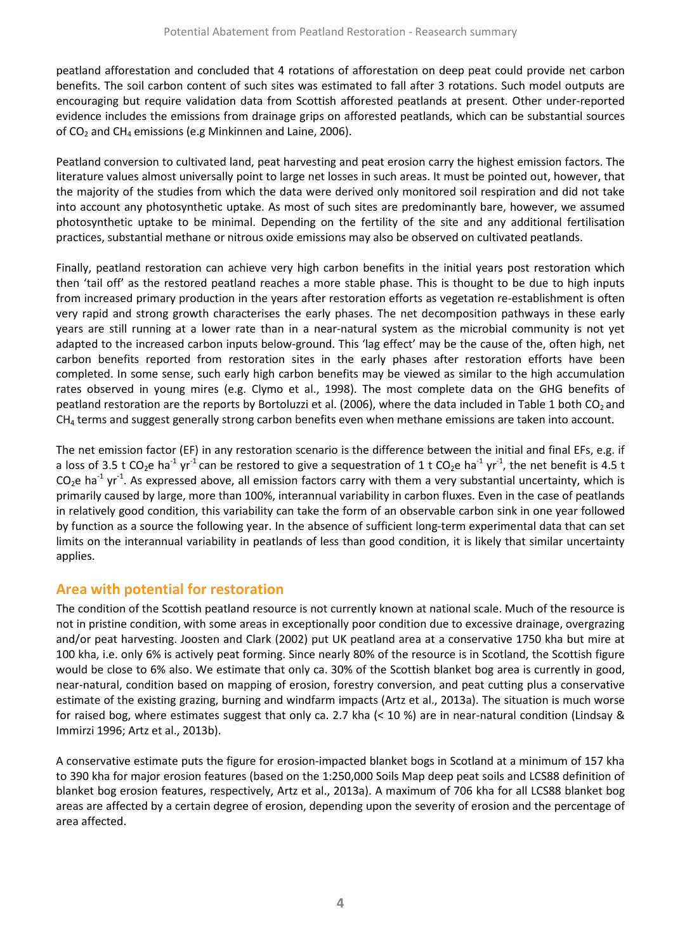peatland afforestation and concluded that 4 rotations of afforestation on deep peat could provide net carbon benefits. The soil carbon content of such sites was estimated to fall after 3 rotations. Such model outputs are encouraging but require validation data from Scottish afforested peatlands at present. Other under-reported evidence includes the emissions from drainage grips on afforested peatlands, which can be substantial sources of  $CO<sub>2</sub>$  and CH<sub>4</sub> emissions (e.g Minkinnen and Laine, 2006).

Peatland conversion to cultivated land, peat harvesting and peat erosion carry the highest emission factors. The literature values almost universally point to large net losses in such areas. It must be pointed out, however, that the majority of the studies from which the data were derived only monitored soil respiration and did not take into account any photosynthetic uptake. As most of such sites are predominantly bare, however, we assumed photosynthetic uptake to be minimal. Depending on the fertility of the site and any additional fertilisation practices, substantial methane or nitrous oxide emissions may also be observed on cultivated peatlands.

Finally, peatland restoration can achieve very high carbon benefits in the initial years post restoration which then 'tail off' as the restored peatland reaches a more stable phase. This is thought to be due to high inputs from increased primary production in the years after restoration efforts as vegetation re-establishment is often very rapid and strong growth characterises the early phases. The net decomposition pathways in these early years are still running at a lower rate than in a near-natural system as the microbial community is not yet adapted to the increased carbon inputs below-ground. This 'lag effect' may be the cause of the, often high, net carbon benefits reported from restoration sites in the early phases after restoration efforts have been completed. In some sense, such early high carbon benefits may be viewed as similar to the high accumulation rates observed in young mires (e.g. Clymo et al., 1998). The most complete data on the GHG benefits of peatland restoration are the reports by Bortoluzzi et al. (2006), where the data included in Table 1 both  $CO<sub>2</sub>$  and  $CH<sub>4</sub>$  terms and suggest generally strong carbon benefits even when methane emissions are taken into account.

The net emission factor (EF) in any restoration scenario is the difference between the initial and final EFs, e.g. if a loss of 3.5 t CO<sub>2</sub>e ha<sup>-1</sup> yr<sup>-1</sup> can be restored to give a sequestration of 1 t CO<sub>2</sub>e ha<sup>-1</sup> yr<sup>-1</sup>, the net benefit is 4.5 t  $CO_2$ e ha<sup>-1</sup> yr<sup>-1</sup>. As expressed above, all emission factors carry with them a very substantial uncertainty, which is primarily caused by large, more than 100%, interannual variability in carbon fluxes. Even in the case of peatlands in relatively good condition, this variability can take the form of an observable carbon sink in one year followed by function as a source the following year. In the absence of sufficient long-term experimental data that can set limits on the interannual variability in peatlands of less than good condition, it is likely that similar uncertainty applies.

# **Area with potential for restoration**

The condition of the Scottish peatland resource is not currently known at national scale. Much of the resource is not in pristine condition, with some areas in exceptionally poor condition due to excessive drainage, overgrazing and/or peat harvesting. Joosten and Clark (2002) put UK peatland area at a conservative 1750 kha but mire at 100 kha, i.e. only 6% is actively peat forming. Since nearly 80% of the resource is in Scotland, the Scottish figure would be close to 6% also. We estimate that only ca. 30% of the Scottish blanket bog area is currently in good, near-natural, condition based on mapping of erosion, forestry conversion, and peat cutting plus a conservative estimate of the existing grazing, burning and windfarm impacts (Artz et al., 2013a). The situation is much worse for raised bog, where estimates suggest that only ca. 2.7 kha (< 10 %) are in near-natural condition (Lindsay & Immirzi 1996; Artz et al., 2013b).

A conservative estimate puts the figure for erosion-impacted blanket bogs in Scotland at a minimum of 157 kha to 390 kha for major erosion features (based on the 1:250,000 Soils Map deep peat soils and LCS88 definition of blanket bog erosion features, respectively, Artz et al., 2013a). A maximum of 706 kha for all LCS88 blanket bog areas are affected by a certain degree of erosion, depending upon the severity of erosion and the percentage of area affected.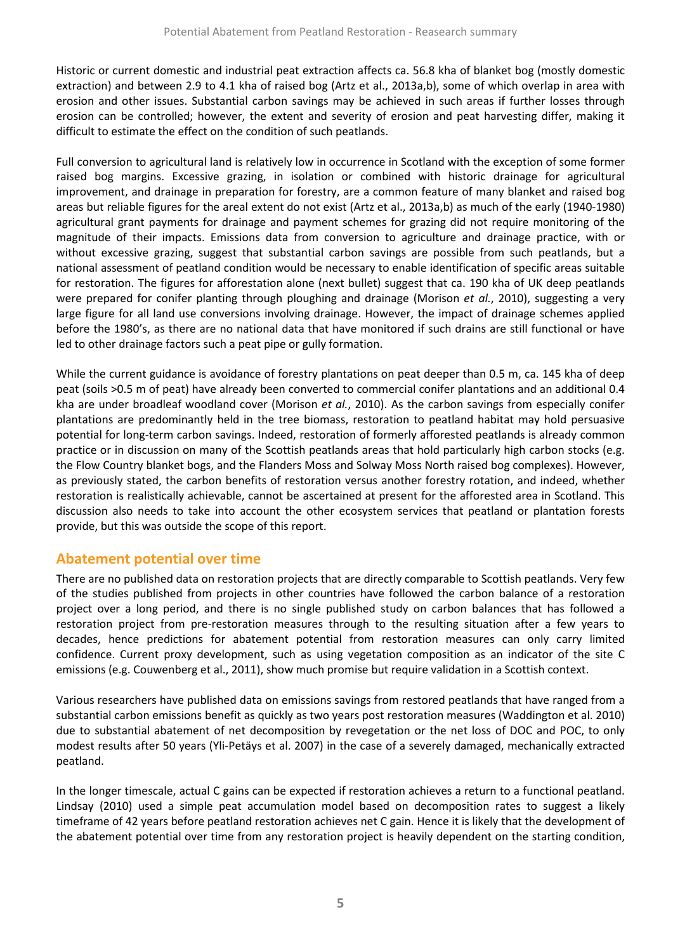Historic or current domestic and industrial peat extraction affects ca. 56.8 kha of blanket bog (mostly domestic extraction) and between 2.9 to 4.1 kha of raised bog (Artz et al., 2013a,b), some of which overlap in area with erosion and other issues. Substantial carbon savings may be achieved in such areas if further losses through erosion can be controlled; however, the extent and severity of erosion and peat harvesting differ, making it difficult to estimate the effect on the condition of such peatlands.

Full conversion to agricultural land is relatively low in occurrence in Scotland with the exception of some former raised bog margins. Excessive grazing, in isolation or combined with historic drainage for agricultural improvement, and drainage in preparation for forestry, are a common feature of many blanket and raised bog areas but reliable figures for the areal extent do not exist (Artz et al., 2013a,b) as much of the early (1940-1980) agricultural grant payments for drainage and payment schemes for grazing did not require monitoring of the magnitude of their impacts. Emissions data from conversion to agriculture and drainage practice, with or without excessive grazing, suggest that substantial carbon savings are possible from such peatlands, but a national assessment of peatland condition would be necessary to enable identification of specific areas suitable for restoration. The figures for afforestation alone (next bullet) suggest that ca. 190 kha of UK deep peatlands were prepared for conifer planting through ploughing and drainage (Morison *et al.*, 2010), suggesting a very large figure for all land use conversions involving drainage. However, the impact of drainage schemes applied before the 1980's, as there are no national data that have monitored if such drains are still functional or have led to other drainage factors such a peat pipe or gully formation.

While the current guidance is avoidance of forestry plantations on peat deeper than 0.5 m, ca. 145 kha of deep peat (soils >0.5 m of peat) have already been converted to commercial conifer plantations and an additional 0.4 kha are under broadleaf woodland cover (Morison *et al.*, 2010). As the carbon savings from especially conifer plantations are predominantly held in the tree biomass, restoration to peatland habitat may hold persuasive potential for long-term carbon savings. Indeed, restoration of formerly afforested peatlands is already common practice or in discussion on many of the Scottish peatlands areas that hold particularly high carbon stocks (e.g. the Flow Country blanket bogs, and the Flanders Moss and Solway Moss North raised bog complexes). However, as previously stated, the carbon benefits of restoration versus another forestry rotation, and indeed, whether restoration is realistically achievable, cannot be ascertained at present for the afforested area in Scotland. This discussion also needs to take into account the other ecosystem services that peatland or plantation forests provide, but this was outside the scope of this report.

### **Abatement potential over time**

There are no published data on restoration projects that are directly comparable to Scottish peatlands. Very few of the studies published from projects in other countries have followed the carbon balance of a restoration project over a long period, and there is no single published study on carbon balances that has followed a restoration project from pre-restoration measures through to the resulting situation after a few years to decades, hence predictions for abatement potential from restoration measures can only carry limited confidence. Current proxy development, such as using vegetation composition as an indicator of the site C emissions (e.g. Couwenberg et al., 2011), show much promise but require validation in a Scottish context.

Various researchers have published data on emissions savings from restored peatlands that have ranged from a substantial carbon emissions benefit as quickly as two years post restoration measures (Waddington et al. 2010) due to substantial abatement of net decomposition by revegetation or the net loss of DOC and POC, to only modest results after 50 years (Yli-Petäys et al. 2007) in the case of a severely damaged, mechanically extracted peatland.

In the longer timescale, actual C gains can be expected if restoration achieves a return to a functional peatland. Lindsay (2010) used a simple peat accumulation model based on decomposition rates to suggest a likely timeframe of 42 years before peatland restoration achieves net C gain. Hence it is likely that the development of the abatement potential over time from any restoration project is heavily dependent on the starting condition,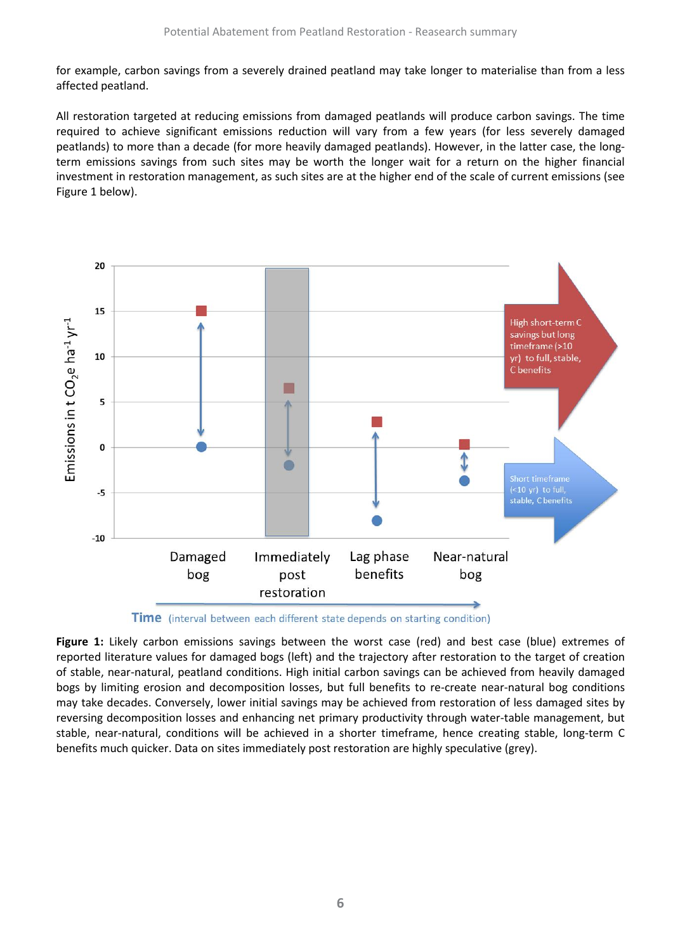for example, carbon savings from a severely drained peatland may take longer to materialise than from a less affected peatland.

All restoration targeted at reducing emissions from damaged peatlands will produce carbon savings. The time required to achieve significant emissions reduction will vary from a few years (for less severely damaged peatlands) to more than a decade (for more heavily damaged peatlands). However, in the latter case, the longterm emissions savings from such sites may be worth the longer wait for a return on the higher financial investment in restoration management, as such sites are at the higher end of the scale of current emissions (see Figure 1 below).



**Time** (interval between each different state depends on starting condition)

**Figure 1:** Likely carbon emissions savings between the worst case (red) and best case (blue) extremes of reported literature values for damaged bogs (left) and the trajectory after restoration to the target of creation of stable, near-natural, peatland conditions. High initial carbon savings can be achieved from heavily damaged bogs by limiting erosion and decomposition losses, but full benefits to re-create near-natural bog conditions may take decades. Conversely, lower initial savings may be achieved from restoration of less damaged sites by reversing decomposition losses and enhancing net primary productivity through water-table management, but stable, near-natural, conditions will be achieved in a shorter timeframe, hence creating stable, long-term C benefits much quicker. Data on sites immediately post restoration are highly speculative (grey).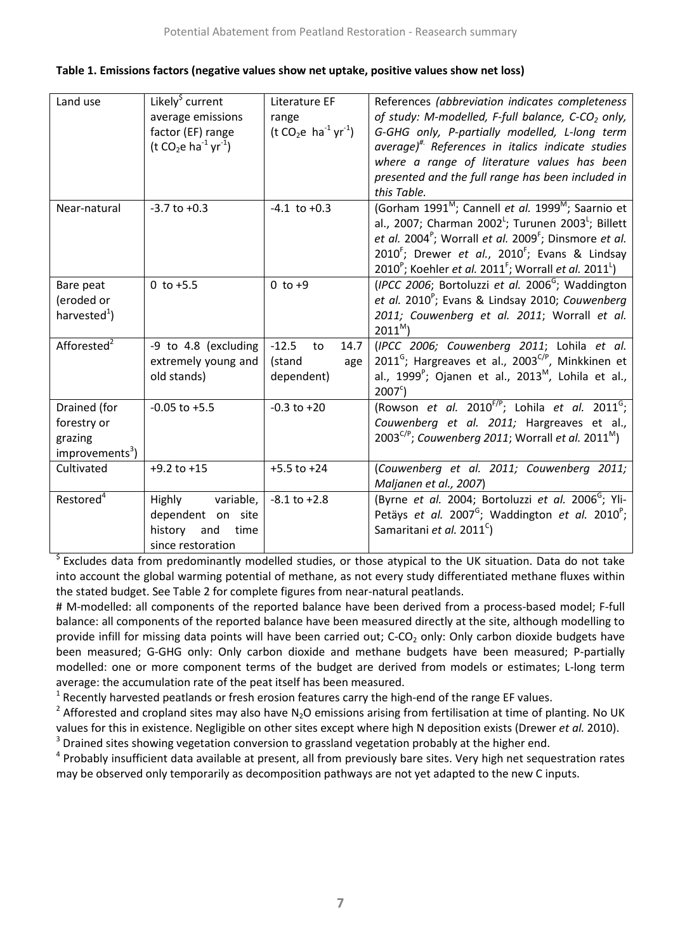| Land use                    | Likely <sup>\$</sup> current                             | Literature EF         | References (abbreviation indicates completeness                                        |  |  |  |
|-----------------------------|----------------------------------------------------------|-----------------------|----------------------------------------------------------------------------------------|--|--|--|
|                             | average emissions                                        | range                 | of study: M-modelled, F-full balance, C-CO <sub>2</sub> only,                          |  |  |  |
|                             | factor (EF) range                                        | $(t CO2e ha-1 yr-1)$  | G-GHG only, P-partially modelled, L-long term                                          |  |  |  |
|                             | (t CO <sub>2</sub> e ha <sup>-1</sup> yr <sup>-1</sup> ) |                       | average) <sup>#</sup> References in italics indicate studies                           |  |  |  |
|                             |                                                          |                       | where a range of literature values has been                                            |  |  |  |
|                             |                                                          |                       | presented and the full range has been included in                                      |  |  |  |
|                             |                                                          |                       | this Table.                                                                            |  |  |  |
| Near-natural                | $-3.7$ to $+0.3$                                         | $-4.1$ to $+0.3$      | (Gorham 1991 <sup>M</sup> ; Cannell et al. 1999 <sup>M</sup> ; Saarnio et              |  |  |  |
|                             |                                                          |                       | al., 2007; Charman 2002 <sup>L</sup> ; Turunen 2003 <sup>L</sup> ; Billett             |  |  |  |
|                             |                                                          |                       | et al. 2004 <sup>°</sup> ; Worrall et al. 2009 <sup>°</sup> ; Dinsmore et al.          |  |  |  |
|                             |                                                          |                       | 2010 <sup>F</sup> ; Drewer et al., 2010 <sup>F</sup> ; Evans & Lindsay                 |  |  |  |
|                             |                                                          |                       | $2010^{\circ}$ ; Koehler et al. 2011 <sup>F</sup> ; Worrall et al. 2011 <sup>L</sup> ) |  |  |  |
| Bare peat                   | $0$ to $+5.5$                                            | $0$ to $+9$           | (IPCC 2006; Bortoluzzi et al. 2006 $\text{G}$ ; Waddington                             |  |  |  |
| (eroded or                  |                                                          |                       | et al. 2010 <sup>P</sup> ; Evans & Lindsay 2010; Couwenberg                            |  |  |  |
| harvested $^{1}$ )          |                                                          |                       | 2011; Couwenberg et al. 2011; Worrall et al.                                           |  |  |  |
|                             |                                                          |                       | $2011^M$ )                                                                             |  |  |  |
| Afforested <sup>2</sup>     | -9 to 4.8 (excluding                                     | $-12.5$<br>14.7<br>to | (IPCC 2006; Couwenberg 2011; Lohila et al.                                             |  |  |  |
|                             | extremely young and                                      | (stand<br>age         | 2011 <sup>G</sup> ; Hargreaves et al., 2003 <sup>C/P</sup> , Minkkinen et              |  |  |  |
|                             | old stands)                                              | dependent)            | al., 1999 <sup>°</sup> ; Ojanen et al., 2013 <sup>M</sup> , Lohila et al.,             |  |  |  |
|                             |                                                          |                       | $2007^{\circ}$ )                                                                       |  |  |  |
| Drained (for                | $-0.05$ to $+5.5$                                        | $-0.3$ to $+20$       | (Rowson et al. $2010^{f/p}$ ; Lohila et al. $2011^6$ ;                                 |  |  |  |
| forestry or                 |                                                          |                       | Couwenberg et al. 2011; Hargreaves et al.,                                             |  |  |  |
| grazing                     |                                                          |                       | $2003^{C/P}$ ; Couwenberg 2011; Worrall et al. 2011 <sup>M</sup> )                     |  |  |  |
| improvements <sup>3</sup> ) |                                                          |                       |                                                                                        |  |  |  |
| Cultivated                  | $+9.2$ to $+15$                                          | $+5.5$ to $+24$       | (Couwenberg et al. 2011; Couwenberg 2011;                                              |  |  |  |
|                             |                                                          |                       | Maljanen et al., 2007)                                                                 |  |  |  |
| Restored <sup>4</sup>       | Highly variable,                                         | $-8.1$ to $+2.8$      | (Byrne et al. 2004; Bortoluzzi et al. 2006 <sup>G</sup> ; Yli-                         |  |  |  |
|                             | dependent on site                                        |                       | Petäys et al. 2007 <sup>G</sup> ; Waddington et al. 2010 <sup>P</sup> ;                |  |  |  |
|                             | history<br>time<br>and                                   |                       | Samaritani et al. 2011 <sup>c</sup> )                                                  |  |  |  |
|                             | since restoration                                        |                       |                                                                                        |  |  |  |

<sup>5</sup> Excludes data from predominantly modelled studies, or those atypical to the UK situation. Data do not take into account the global warming potential of methane, as not every study differentiated methane fluxes within the stated budget. See Table 2 for complete figures from near-natural peatlands.

# M-modelled: all components of the reported balance have been derived from a process-based model; F-full balance: all components of the reported balance have been measured directly at the site, although modelling to provide infill for missing data points will have been carried out;  $C-CO<sub>2</sub>$  only: Only carbon dioxide budgets have been measured; G-GHG only: Only carbon dioxide and methane budgets have been measured; P-partially modelled: one or more component terms of the budget are derived from models or estimates; L-long term average: the accumulation rate of the peat itself has been measured.

 $1$  Recently harvested peatlands or fresh erosion features carry the high-end of the range EF values.

<sup>2</sup> Afforested and cropland sites may also have N<sub>2</sub>O emissions arising from fertilisation at time of planting. No UK values for this in existence. Negligible on other sites except where high N deposition exists (Drewer *et al.* 2010).

 $3$  Drained sites showing vegetation conversion to grassland vegetation probably at the higher end.<br> $4$  Probably insufficient data available at present, all from previously bare sites. Very high net sequestration rates

may be observed only temporarily as decomposition pathways are not yet adapted to the new C inputs.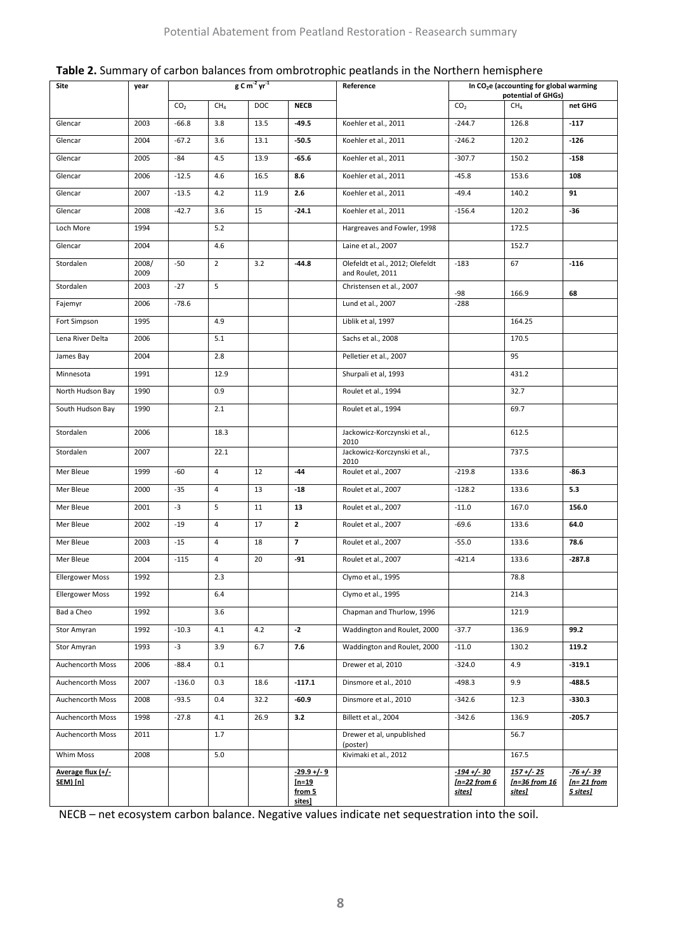| Site                          | year          | $g$ C m <sup>-2</sup> yr <sup>-1</sup> |                 | Reference | In CO <sub>2</sub> e (accounting for global warming<br>potential of GHGs) |                                                     |                                                  |                                                   |                                           |
|-------------------------------|---------------|----------------------------------------|-----------------|-----------|---------------------------------------------------------------------------|-----------------------------------------------------|--------------------------------------------------|---------------------------------------------------|-------------------------------------------|
|                               |               | CO <sub>2</sub>                        | CH <sub>4</sub> | DOC       | <b>NECB</b>                                                               |                                                     | CO <sub>2</sub>                                  | CH <sub>4</sub>                                   | net GHG                                   |
| Glencar                       | 2003          | $-66.8$                                | 3.8             | 13.5      | $-49.5$                                                                   | Koehler et al., 2011                                | $-244.7$                                         | 126.8                                             | $-117$                                    |
| Glencar                       | 2004          | $-67.2$                                | 3.6             | 13.1      | $-50.5$                                                                   | Koehler et al., 2011                                | $-246.2$                                         | 120.2                                             | $-126$                                    |
| Glencar                       | 2005          | $-84$                                  | 4.5             | 13.9      | $-65.6$                                                                   | Koehler et al., 2011                                | $-307.7$                                         | 150.2                                             | $-158$                                    |
| Glencar                       | 2006          | $-12.5$                                | 4.6             | 16.5      | 8.6                                                                       | Koehler et al., 2011                                | $-45.8$                                          | 153.6                                             | 108                                       |
| Glencar                       | 2007          | $-13.5$                                | 4.2             | 11.9      | 2.6                                                                       | Koehler et al., 2011                                | $-49.4$                                          | 140.2                                             | 91                                        |
| Glencar                       | 2008          | $-42.7$                                | 3.6             | 15        | $-24.1$                                                                   | Koehler et al., 2011                                | $-156.4$                                         | 120.2                                             | -36                                       |
| Loch More                     | 1994          |                                        | 5.2             |           |                                                                           | Hargreaves and Fowler, 1998                         |                                                  | 172.5                                             |                                           |
| Glencar                       | 2004          |                                        | 4.6             |           |                                                                           | Laine et al., 2007                                  |                                                  | 152.7                                             |                                           |
| Stordalen                     | 2008/<br>2009 | $-50$                                  | $\overline{2}$  | 3.2       | $-44.8$                                                                   | Olefeldt et al., 2012; Olefeldt<br>and Roulet, 2011 | $-183$                                           | 67                                                | $-116$                                    |
| Stordalen                     | 2003          | $-27$                                  | 5               |           |                                                                           | Christensen et al., 2007                            | $-98$                                            | 166.9                                             | 68                                        |
| Fajemyr                       | 2006          | $-78.6$                                |                 |           |                                                                           | Lund et al., 2007                                   | $-288$                                           |                                                   |                                           |
| Fort Simpson                  | 1995          |                                        | 4.9             |           |                                                                           | Liblik et al, 1997                                  |                                                  | 164.25                                            |                                           |
| Lena River Delta              | 2006          |                                        | 5.1             |           |                                                                           | Sachs et al., 2008                                  |                                                  | 170.5                                             |                                           |
| James Bay                     | 2004          |                                        | 2.8             |           |                                                                           | Pelletier et al., 2007                              |                                                  | 95                                                |                                           |
| Minnesota                     | 1991          |                                        | 12.9            |           |                                                                           | Shurpali et al, 1993                                |                                                  | 431.2                                             |                                           |
| North Hudson Bay              | 1990          |                                        | 0.9             |           |                                                                           | Roulet et al., 1994                                 |                                                  | 32.7                                              |                                           |
| South Hudson Bay              | 1990          |                                        | 2.1             |           |                                                                           | Roulet et al., 1994                                 |                                                  | 69.7                                              |                                           |
| Stordalen                     | 2006          |                                        | 18.3            |           |                                                                           | Jackowicz-Korczynski et al.,<br>2010                |                                                  | 612.5                                             |                                           |
| Stordalen                     | 2007          |                                        | 22.1            |           |                                                                           | Jackowicz-Korczynski et al.,<br>2010                |                                                  | 737.5                                             |                                           |
| Mer Bleue                     | 1999          | $-60$                                  | 4               | 12        | $-44$                                                                     | Roulet et al., 2007                                 | $-219.8$                                         | 133.6                                             | $-86.3$                                   |
| Mer Bleue                     | 2000          | $-35$                                  | $\overline{4}$  | 13        | $-18$                                                                     | Roulet et al., 2007                                 | $-128.2$                                         | 133.6                                             | 5.3                                       |
| Mer Bleue                     | 2001          | $-3$                                   | 5               | 11        | 13                                                                        | Roulet et al., 2007                                 | $-11.0$                                          | 167.0                                             | 156.0                                     |
| Mer Bleue                     | 2002          | $-19$                                  | $\overline{4}$  | 17        | $\overline{2}$                                                            | Roulet et al., 2007                                 | $-69.6$                                          | 133.6                                             | 64.0                                      |
| Mer Bleue                     | 2003          | $-15$                                  | 4               | 18        | $\overline{\phantom{a}}$                                                  | Roulet et al., 2007                                 | $-55.0$                                          | 133.6                                             | 78.6                                      |
| Mer Bleue                     | 2004          | $-115$                                 | $\overline{4}$  | 20        | $-91$                                                                     | Roulet et al., 2007                                 | $-421.4$                                         | 133.6                                             | $-287.8$                                  |
| <b>Ellergower Moss</b>        | 1992          |                                        | 2.3             |           |                                                                           | Clymo et al., 1995                                  |                                                  | 78.8                                              |                                           |
| <b>Ellergower Moss</b>        | 1992          |                                        | 6.4             |           |                                                                           | Clymo et al., 1995                                  |                                                  | 214.3                                             |                                           |
| Bad a Cheo                    | 1992          |                                        | 3.6             |           |                                                                           | Chapman and Thurlow, 1996                           |                                                  | 121.9                                             |                                           |
| Stor Amyran                   | 1992          | $-10.3$                                | 4.1             | 4.2       | $-2$                                                                      | Waddington and Roulet, 2000                         | $-37.7$                                          | 136.9                                             | 99.2                                      |
| Stor Amyran                   | 1993          | $-3$                                   | 3.9             | 6.7       | 7.6                                                                       | Waddington and Roulet, 2000                         | $-11.0$                                          | 130.2                                             | 119.2                                     |
| Auchencorth Moss              | 2006          | $-88.4$                                | 0.1             |           |                                                                           | Drewer et al, 2010                                  | $-324.0$                                         | 4.9                                               | $-319.1$                                  |
| Auchencorth Moss              | 2007          | $-136.0$                               | 0.3             | 18.6      | $-117.1$                                                                  | Dinsmore et al., 2010                               | $-498.3$                                         | 9.9                                               | $-488.5$                                  |
| Auchencorth Moss              | 2008          | $-93.5$                                | 0.4             | 32.2      | $-60.9$                                                                   | Dinsmore et al., 2010                               | $-342.6$                                         | 12.3                                              | $-330.3$                                  |
| Auchencorth Moss              | 1998          | $-27.8$                                | 4.1             | 26.9      | 3.2                                                                       | Billett et al., 2004                                | $-342.6$                                         | 136.9                                             | $-205.7$                                  |
| Auchencorth Moss              | 2011          |                                        | 1.7             |           |                                                                           | Drewer et al, unpublished<br>(poster)               |                                                  | 56.7                                              |                                           |
| Whim Moss                     | 2008          |                                        | 5.0             |           |                                                                           | Kivimaki et al., 2012                               |                                                  | 167.5                                             |                                           |
| Average flux (+/-<br>SEM) [n] |               |                                        |                 |           | $-29.9 + (-9)$<br>$[n=19]$<br>from 5<br>sites]                            |                                                     | $-194 + (-30$<br>$In=22 from 6$<br><u>sites]</u> | <u>157+/-25</u><br>In=36 from 16<br><u>sites]</u> | $-76 + (-39)$<br>$[n=21$ from<br>5 sites] |

NECB – net ecosystem carbon balance. Negative values indicate net sequestration into the soil.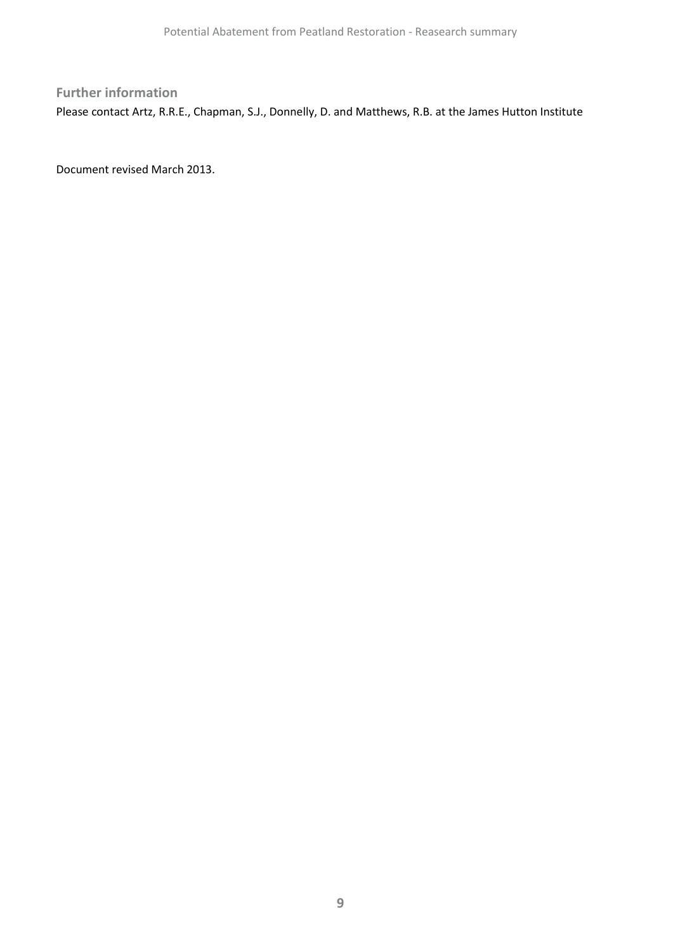# **Further information** Please contact Artz, R.R.E., Chapman, S.J., Donnelly, D. and Matthews, R.B. at the James Hutton Institute

Document revised March 2013.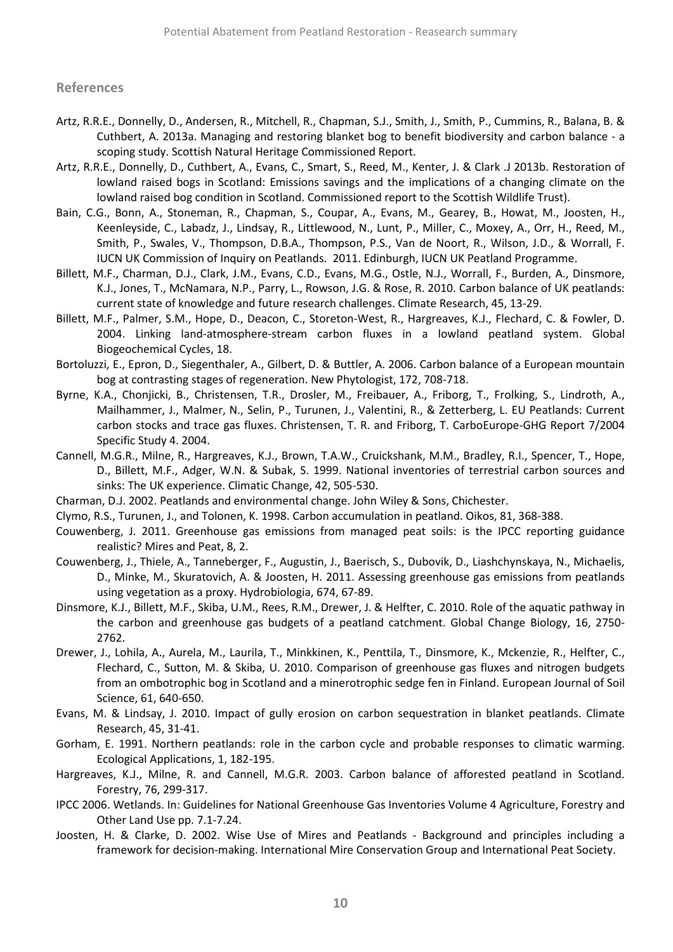#### **References**

- Artz, R.R.E., Donnelly, D., Andersen, R., Mitchell, R., Chapman, S.J., Smith, J., Smith, P., Cummins, R., Balana, B. & Cuthbert, A. 2013a. Managing and restoring blanket bog to benefit biodiversity and carbon balance - a scoping study. Scottish Natural Heritage Commissioned Report.
- Artz, R.R.E., Donnelly, D., Cuthbert, A., Evans, C., Smart, S., Reed, M., Kenter, J. & Clark .J 2013b. Restoration of lowland raised bogs in Scotland: Emissions savings and the implications of a changing climate on the lowland raised bog condition in Scotland. Commissioned report to the Scottish Wildlife Trust).
- Bain, C.G., Bonn, A., Stoneman, R., Chapman, S., Coupar, A., Evans, M., Gearey, B., Howat, M., Joosten, H., Keenleyside, C., Labadz, J., Lindsay, R., Littlewood, N., Lunt, P., Miller, C., Moxey, A., Orr, H., Reed, M., Smith, P., Swales, V., Thompson, D.B.A., Thompson, P.S., Van de Noort, R., Wilson, J.D., & Worrall, F. IUCN UK Commission of Inquiry on Peatlands. 2011. Edinburgh, IUCN UK Peatland Programme.
- Billett, M.F., Charman, D.J., Clark, J.M., Evans, C.D., Evans, M.G., Ostle, N.J., Worrall, F., Burden, A., Dinsmore, K.J., Jones, T., McNamara, N.P., Parry, L., Rowson, J.G. & Rose, R. 2010. Carbon balance of UK peatlands: current state of knowledge and future research challenges. Climate Research, 45, 13-29.
- Billett, M.F., Palmer, S.M., Hope, D., Deacon, C., Storeton-West, R., Hargreaves, K.J., Flechard, C. & Fowler, D. 2004. Linking land-atmosphere-stream carbon fluxes in a lowland peatland system. Global Biogeochemical Cycles, 18.
- Bortoluzzi, E., Epron, D., Siegenthaler, A., Gilbert, D. & Buttler, A. 2006. Carbon balance of a European mountain bog at contrasting stages of regeneration. New Phytologist, 172, 708-718.
- Byrne, K.A., Chonjicki, B., Christensen, T.R., Drosler, M., Freibauer, A., Friborg, T., Frolking, S., Lindroth, A., Mailhammer, J., Malmer, N., Selin, P., Turunen, J., Valentini, R., & Zetterberg, L. EU Peatlands: Current carbon stocks and trace gas fluxes. Christensen, T. R. and Friborg, T. CarboEurope-GHG Report 7/2004 Specific Study 4. 2004.
- Cannell, M.G.R., Milne, R., Hargreaves, K.J., Brown, T.A.W., Cruickshank, M.M., Bradley, R.I., Spencer, T., Hope, D., Billett, M.F., Adger, W.N. & Subak, S. 1999. National inventories of terrestrial carbon sources and sinks: The UK experience. Climatic Change, 42, 505-530.
- Charman, D.J. 2002. Peatlands and environmental change. John Wiley & Sons, Chichester.
- Clymo, R.S., Turunen, J., and Tolonen, K. 1998. Carbon accumulation in peatland. Oikos, 81, 368-388.
- Couwenberg, J. 2011. Greenhouse gas emissions from managed peat soils: is the IPCC reporting guidance realistic? Mires and Peat, 8, 2.
- Couwenberg, J., Thiele, A., Tanneberger, F., Augustin, J., Baerisch, S., Dubovik, D., Liashchynskaya, N., Michaelis, D., Minke, M., Skuratovich, A. & Joosten, H. 2011. Assessing greenhouse gas emissions from peatlands using vegetation as a proxy. Hydrobiologia, 674, 67-89.
- Dinsmore, K.J., Billett, M.F., Skiba, U.M., Rees, R.M., Drewer, J. & Helfter, C. 2010. Role of the aquatic pathway in the carbon and greenhouse gas budgets of a peatland catchment. Global Change Biology, 16, 2750- 2762.
- Drewer, J., Lohila, A., Aurela, M., Laurila, T., Minkkinen, K., Penttila, T., Dinsmore, K., Mckenzie, R., Helfter, C., Flechard, C., Sutton, M. & Skiba, U. 2010. Comparison of greenhouse gas fluxes and nitrogen budgets from an ombotrophic bog in Scotland and a minerotrophic sedge fen in Finland. European Journal of Soil Science, 61, 640-650.
- Evans, M. & Lindsay, J. 2010. Impact of gully erosion on carbon sequestration in blanket peatlands. Climate Research, 45, 31-41.
- Gorham, E. 1991. Northern peatlands: role in the carbon cycle and probable responses to climatic warming. Ecological Applications, 1, 182-195.
- Hargreaves, K.J., Milne, R. and Cannell, M.G.R. 2003. Carbon balance of afforested peatland in Scotland. Forestry, 76, 299-317.
- IPCC 2006. Wetlands. In: Guidelines for National Greenhouse Gas Inventories Volume 4 Agriculture, Forestry and Other Land Use pp. 7.1-7.24.
- Joosten, H. & Clarke, D. 2002. Wise Use of Mires and Peatlands Background and principles including a framework for decision-making. International Mire Conservation Group and International Peat Society.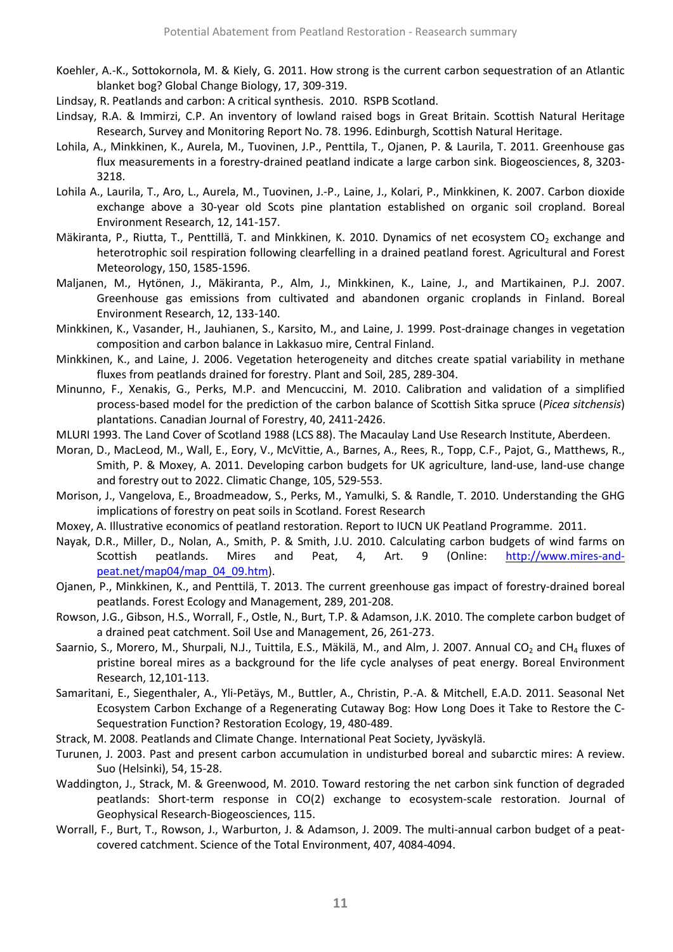- Koehler, A.-K., Sottokornola, M. & Kiely, G. 2011. How strong is the current carbon sequestration of an Atlantic blanket bog? Global Change Biology, 17, 309-319.
- Lindsay, R. Peatlands and carbon: A critical synthesis. 2010. RSPB Scotland.
- Lindsay, R.A. & Immirzi, C.P. An inventory of lowland raised bogs in Great Britain. Scottish Natural Heritage Research, Survey and Monitoring Report No. 78. 1996. Edinburgh, Scottish Natural Heritage.
- Lohila, A., Minkkinen, K., Aurela, M., Tuovinen, J.P., Penttila, T., Ojanen, P. & Laurila, T. 2011. Greenhouse gas flux measurements in a forestry-drained peatland indicate a large carbon sink. Biogeosciences, 8, 3203- 3218.
- Lohila A., Laurila, T., Aro, L., Aurela, M., Tuovinen, J.-P., Laine, J., Kolari, P., Minkkinen, K. 2007. Carbon dioxide exchange above a 30-year old Scots pine plantation established on organic soil cropland. Boreal Environment Research, 12, 141-157.
- Mäkiranta, P., Riutta, T., Penttillä, T. and Minkkinen, K. 2010. Dynamics of net ecosystem CO<sub>2</sub> exchange and heterotrophic soil respiration following clearfelling in a drained peatland forest. Agricultural and Forest Meteorology, 150, 1585-1596.
- Maljanen, M., Hytönen, J., Mäkiranta, P., Alm, J., Minkkinen, K., Laine, J., and Martikainen, P.J. 2007. Greenhouse gas emissions from cultivated and abandonen organic croplands in Finland. Boreal Environment Research, 12, 133-140.
- Minkkinen, K., Vasander, H., Jauhianen, S., Karsito, M., and Laine, J. 1999. Post-drainage changes in vegetation composition and carbon balance in Lakkasuo mire, Central Finland.
- Minkkinen, K., and Laine, J. 2006. Vegetation heterogeneity and ditches create spatial variability in methane fluxes from peatlands drained for forestry. Plant and Soil, 285, 289-304.
- Minunno, F., Xenakis, G., Perks, M.P. and Mencuccini, M. 2010. Calibration and validation of a simplified process-based model for the prediction of the carbon balance of Scottish Sitka spruce (*Picea sitchensis*) plantations. Canadian Journal of Forestry, 40, 2411-2426.
- MLURI 1993. The Land Cover of Scotland 1988 (LCS 88). The Macaulay Land Use Research Institute, Aberdeen.
- Moran, D., MacLeod, M., Wall, E., Eory, V., McVittie, A., Barnes, A., Rees, R., Topp, C.F., Pajot, G., Matthews, R., Smith, P. & Moxey, A. 2011. Developing carbon budgets for UK agriculture, land-use, land-use change and forestry out to 2022. Climatic Change, 105, 529-553.
- Morison, J., Vangelova, E., Broadmeadow, S., Perks, M., Yamulki, S. & Randle, T. 2010. Understanding the GHG implications of forestry on peat soils in Scotland. Forest Research
- Moxey, A. Illustrative economics of peatland restoration. Report to IUCN UK Peatland Programme. 2011.
- Nayak, D.R., Miller, D., Nolan, A., Smith, P. & Smith, J.U. 2010. Calculating carbon budgets of wind farms on Scottish peatlands. Mires and Peat, 4, Art. 9 (Online: [http://www.mires-and](http://www.mires-and-peat.net/map04/map_04_09.htm)[peat.net/map04/map\\_04\\_09.htm\)](http://www.mires-and-peat.net/map04/map_04_09.htm).
- Ojanen, P., Minkkinen, K., and Penttilä, T. 2013. The current greenhouse gas impact of forestry-drained boreal peatlands. Forest Ecology and Management, 289, 201-208.
- Rowson, J.G., Gibson, H.S., Worrall, F., Ostle, N., Burt, T.P. & Adamson, J.K. 2010. The complete carbon budget of a drained peat catchment. Soil Use and Management, 26, 261-273.
- Saarnio, S., Morero, M., Shurpali, N.J., Tuittila, E.S., Mäkilä, M., and Alm, J. 2007. Annual CO<sub>2</sub> and CH<sub>4</sub> fluxes of pristine boreal mires as a background for the life cycle analyses of peat energy. Boreal Environment Research, 12,101-113.
- Samaritani, E., Siegenthaler, A., Yli-Petäys, M., Buttler, A., Christin, P.-A. & Mitchell, E.A.D. 2011. Seasonal Net Ecosystem Carbon Exchange of a Regenerating Cutaway Bog: How Long Does it Take to Restore the C-Sequestration Function? Restoration Ecology, 19, 480-489.
- Strack, M. 2008. Peatlands and Climate Change. International Peat Society, Jyväskylä.
- Turunen, J. 2003. Past and present carbon accumulation in undisturbed boreal and subarctic mires: A review. Suo (Helsinki), 54, 15-28.
- Waddington, J., Strack, M. & Greenwood, M. 2010. Toward restoring the net carbon sink function of degraded peatlands: Short-term response in CO(2) exchange to ecosystem-scale restoration. Journal of Geophysical Research-Biogeosciences, 115.
- Worrall, F., Burt, T., Rowson, J., Warburton, J. & Adamson, J. 2009. The multi-annual carbon budget of a peatcovered catchment. Science of the Total Environment, 407, 4084-4094.